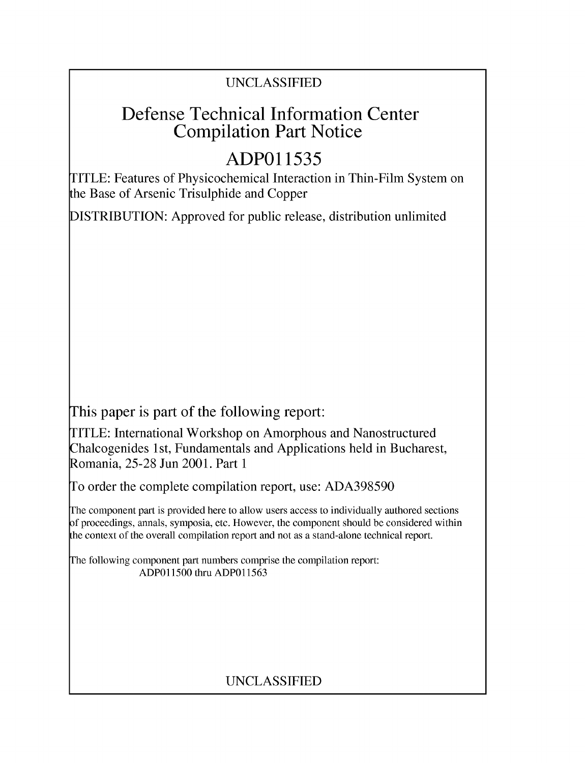# UNCLASSIFIED

# Defense Technical Information Center Compilation Part Notice

# **ADPO1 1535**

TITLE: Features of Physicochemical Interaction in Thin-Film System on the Base of Arsenic Trisulphide and Copper

DISTRIBUTION: Approved for public release, distribution unlimited

This paper is part of the following report:

TITLE: International Workshop on Amorphous and Nanostructured Chalcogenides 1 st, Fundamentals and Applications held in Bucharest, Romania, 25-28 Jun 2001. Part 1

To order the complete compilation report, use: ADA398590

The component part is provided here to allow users access to individually authored sections f proceedings, annals, symposia, etc. However, the component should be considered within [he context of the overall compilation report and not as a stand-alone technical report.

The following component part numbers comprise the compilation report: ADPO11500 thru ADP011563

# UNCLASSIFIED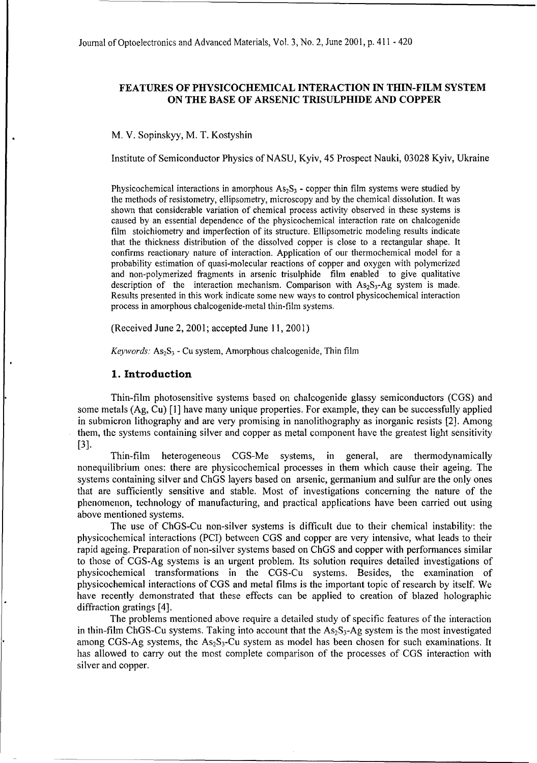# **FEATURES** OF **PHYSICOCIEMICAL INTERACTION IN** THIN-FILM SYSTEM **ON** THE **BASE** OF **ARSENIC** TRISULPHIDE **AND** COPPER

#### M. V. Sopinskyy, M. T. Kostyshin

Institute of Semiconductor Physics of NASU, Kyiv, 45 Prospect Nauki, 03028 Kyiv, Ukraine

Physicochemical interactions in amorphous  $As_2S_3$  - copper thin film systems were studied by the methods of resistometry, ellipsometry, microscopy and by the chemical dissolution. It was shown that considerable variation of chemical process activity observed in these systems is caused by an essential dependence of the physicochemical interaction rate on chalcogenide film stoichiometry and imperfection of its structure. Ellipsometric modeling results indicate that the thickness distribution of the dissolved copper is close to a rectangular shape. It confirms reactionary nature of interaction. Application of our thermochemical model for a probability estimation of quasi-molecular reactions of copper and oxygen with polymerized and non-polymerized fragments in arsenic trisulphide film enabled to give qualitative description of the interaction mechanism. Comparison with  $As_{2}S_{3}$ -Ag system is made. Results presented in this work indicate some new ways to control physicochemical interaction process in amorphous chalcogenide-metal thin-film systems.

(Received June 2, 2001; accepted June 11, 2001)

*Keywords:* As<sub>2</sub>S<sub>3</sub> - Cu system, Amorphous chalcogenide, Thin film

#### **1.** Introduction

Thin-film photosensitive systems based on chalcogenide glassy semiconductors (CGS) and some metals (Ag, Cu) [1] have many unique properties. For example, they can be successfully applied in submicron lithography and are very promising in nanolithography as inorganic resists [2]. Among them, the systems containing silver and copper as metal component have the greatest light sensitivity **[3].**

Thin-film heterogeneous CGS-Me systems, in general, are thermodynamically nonequilibrium ones: there are physicochemical processes in them which cause their ageing. The systems containing silver and ChGS layers based on arsenic, germanium and sulfur are the only ones that are sufficiently sensitive and stable. Most of investigations concerning the nature of the phenomenon, technology of manufacturing, and practical applications have been carried out using above mentioned systems.

The use of ChGS-Cu non-silver systems is difficult due to their chemical instability: the physicochemical interactions (PCI) between CGS and copper are very intensive, what leads to their rapid ageing. Preparation of non-silver systems based on ChGS and copper with performances similar to those of CGS-Ag systems is an urgent problem. Its solution requires detailed investigations of physicochemical transformations in the CGS-Cu systems. Besides, the examination of physicochemical interactions of CGS and metal films is the important topic of research by itself. We have recently demonstrated that these effects can be applied to creation of blazed holographic diffraction gratings [4].

The problems mentioned above require a detailed study of specific features of the interaction in thin-film ChGS-Cu systems. Taking into account that the  $As_2S_3-As$  system is the most investigated among CGS-Ag systems, the  $As_2S_3$ -Cu system as model has been chosen for such examinations. It has allowed to carry out the most complete comparison of the processes of CGS interaction with silver and copper.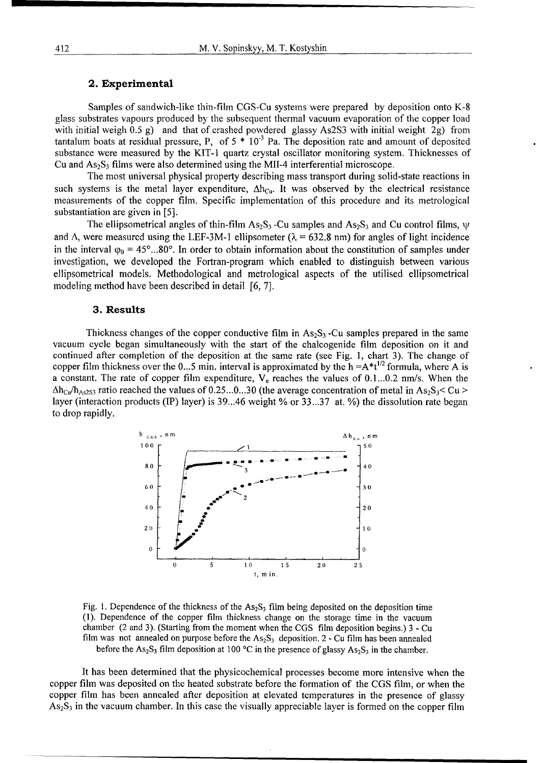## 2. Experimental

Samples of sandwich-like thin-film CGS-Cu systems were prepared by deposition onto K-8 glass substrates vapours produced by the subsequent thermal vacuum evaporation of the copper load with initial weigh 0.5 g) and that of crashed powdered glassy As2S3 with initial weight 2g) from tantalum boats at residual pressure, P, of 5 **\* 10"3** Pa. The deposition rate and amount of deposited substance were measured by the KIT-1 quartz crystal oscillator monitoring system. Thicknesses of Cu and  $As_2S_3$  films were also determined using the MII-4 interferential microscope.

The most universal physical property describing mass transport during solid-state reactions in such systems is the metal layer expenditure,  $\Delta h_{Cu}$ . It was observed by the electrical resistance measurements of the copper film. Specific implementation of this procedure and its metrological substantiation are given in **[5].**

The ellipsometrical angles of thin-film  $As_2S_3$ -Cu samples and  $As_2S_3$  and Cu control films,  $\psi$ and  $\Delta$ , were measured using the LEF-3M-1 ellipsometer ( $\lambda$  = 632.8 nm) for angles of light incidence in the interval  $\varphi_0 = 45^\circ$ ...80°. In order to obtain information about the constitution of samples under investigation, we developed the Fortran-program which enabled to distinguish between various ellipsometrical models. Methodological and metrological aspects of the utilised ellipsometrical modeling method have been described in detail [6, **7].**

#### **3.** Results

Thickness changes of the copper conductive film in  $\text{As}_2\text{S}_3$ -Cu samples prepared in the same vacuum cycle began simultaneously with the start of the chalcogenide film deposition on it and continued after completion of the deposition at the same rate (see Fig. 1, chart 3). The change of copper film thickness over the 0...5 min. interval is approximated by the  $h = A * t^{1/2}$  formula, where A is a constant. The rate of copper film expenditure, **Ve** reaches the values of 0.1 ...0.2 nm/s. When the  $\Delta h_{Cu}/h_{As253}$  ratio reached the values of 0.25...0...30 (the average concentration of metal in As<sub>2</sub>S<sub>3</sub>< Cu > layer (interaction products (IP) layer) is 39...46 weight % or 33...37 at. %) the dissolution rate began to drop rapidly.



Fig. 1. Dependence of the thickness of the  $As_2S_3$  film being deposited on the deposition time **(1).** Dependence of the copper film thickness change on the storage time in the vacuum chamber (2 and 3). (Starting from the moment when the CGS film deposition begins.) 3 - Cu film was not annealed on purpose before the  $As_2S_3$  deposition. 2 - Cu film has been annealed before the As<sub>2</sub>S<sub>3</sub> film deposition at 100 °C in the presence of glassy As<sub>2</sub>S<sub>3</sub> in the chamber.

It has been determined that the physicochemical processes become more intensive when the copper film was deposited on the heated substrate before the formation of the CGS film, or when the copper filn has been annealed after deposition at elevated temperatures in the presence of glassy  $As<sub>2</sub>S<sub>3</sub>$  in the vacuum chamber. In this case the visually appreciable layer is formed on the copper film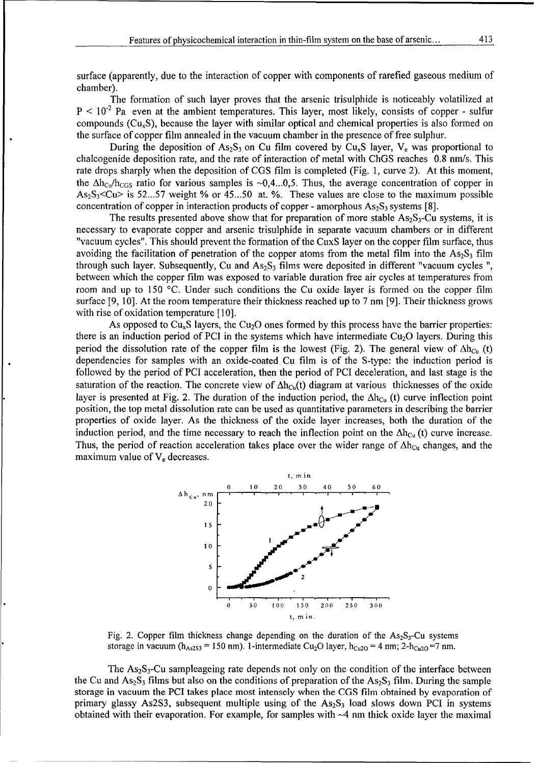surface (apparently, due to the interaction of copper with components of rarefied gaseous medium of chamber).

The formation of such layer proves that the arsenic trisulphide is noticeably volatilized at  $P < 10^{-2}$  Pa even at the ambient temperatures. This layer, most likely, consists of copper - sulfur compounds ( $Cu<sub>x</sub>S$ ), because the layer with similar optical and chemical properties is also formed on the surface of copper film annealed in the vacuum chamber in the presence of free sulphur.

During the deposition of As<sub>2</sub>S<sub>3</sub> on Cu film covered by Cu<sub>x</sub>S layer, V<sub>e</sub> was proportional to chalcogenide deposition rate, and the rate of interaction of metal with ChGS reaches 0.8 nm/s. This rate drops sharply when the deposition of CGS film is completed (Fig. 1, curve 2). At this moment, the  $\Delta h_{\text{Cu}}/h_{\text{CGS}}$  ratio for various samples is  $\sim 0.4...0.5$ . Thus, the average concentration of copper in As<sub>2</sub>S<sub>3</sub><Cu> is 52...57 weight % or 45...50 at. %. These values are close to the maximum possible concentration of copper in interaction products of copper - amorphous  $As_2S_3$  systems [8].

The results presented above show that for preparation of more stable  $As_2S_3$ -Cu systems, it is necessary to evaporate copper and arsenic trisulphide in separate vacuum chambers or in different "vacuum cycles". This should prevent the formation of the CuxS layer on the copper film surface, thus avoiding the facilitation of penetration of the copper atoms from the metal film into the  $As_2S_3$  film through such layer. Subsequently, Cu and As<sub>2</sub>S<sub>3</sub> films were deposited in different "vacuum cycles ", between which the copper film was exposed to variable duration free air cycles at temperatures from room and up to *150 'C.* Under such conditions the Cu oxide layer is formed on the copper film surface [9, 10]. At the room temperature their thickness reached up to 7 nm [9]. Their thickness grows with rise of oxidation temperature [10].

As opposed to Cu<sub>x</sub>S layers, the Cu<sub>2</sub>O ones formed by this process have the barrier properties: there is an induction period of PCI in the systems which have intermediate  $Cu<sub>2</sub>O$  layers. During this period the dissolution rate of the copper film is the lowest (Fig. 2). The general view of  $\Delta h_{Cu}$  (t) dependencies for samples with an oxide-coated Cu film is of the S-type: the induction period is followed by the period of PCI acceleration, then the period of PCI deceleration, and last stage is the saturation of the reaction. The concrete view of  $\Delta h_{Cu}(t)$  diagram at various thicknesses of the oxide layer is presented at Fig. 2. The duration of the induction period, the  $\Delta h_{Cu}$  (t) curve inflection point position, the top metal dissolution rate can be used as quantitative parameters in describing the barrier properties of oxide layer. As the thickness of the oxide layer increases, both the duration of the induction period, and the time necessary to reach the inflection point on the  $\Delta h_{Cu}$  (t) curve increase. Thus, the period of reaction acceleration takes place over the wider range of  $\Delta h_{Cu}$  changes, and the maximum value of  $V_e$  decreases.



Fig. 2. Copper film thickness change depending on the duration of the  $As_2S_3$ -Cu systems storage in vacuum ( $h_{A_2}$ <sub>253</sub> = 150 nm). 1-intermediate Cu<sub>2</sub>O layer,  $h_{Cu20}$  = 4 nm; 2- $h_{Cu20}$  = 7 nm.

The **As2S3-Cu** sampleageing rate depends not only on the condition of the interface between the Cu and  $As_2S_3$  films but also on the conditions of preparation of the  $As_2S_3$  film. During the sample storage in vacuum the PCI takes place most intensely when the CGS film obtained by evaporation of primary glassy As2S3, subsequent multiple using of the  $As_2S_3$  load slows down PCI in systems obtained with their evaporation. For example, for samples with -4 nm thick oxide layer the maximal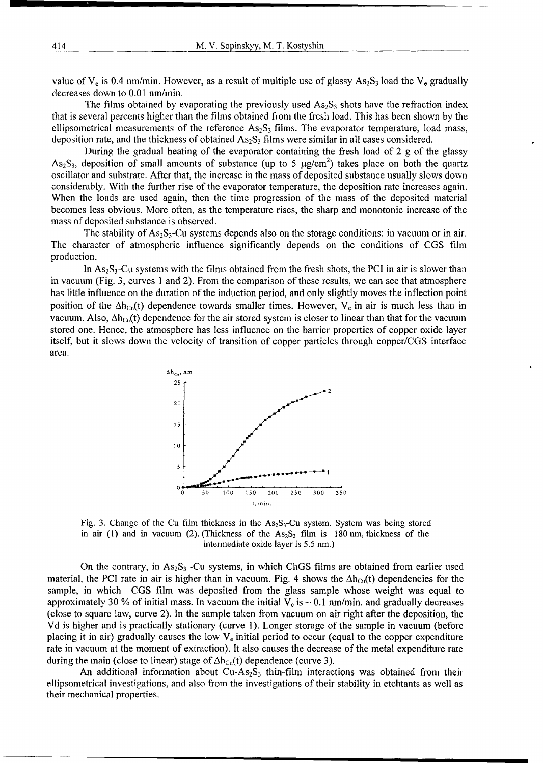value of  $V_e$  is 0.4 nm/min. However, as a result of multiple use of glassy As<sub>2</sub>S<sub>3</sub> load the  $V_e$  gradually decreases down to 0.01 nm/min.

The films obtained by evaporating the previously used  $As_2S_3$  shots have the refraction index that is several percents higher than the films obtained from the fresh load. This has been shown by the ellipsometrical measurements of the reference  $As_2S_3$  films. The evaporator temperature, load mass, deposition rate, and the thickness of obtained  $As_2S_3$  films were similar in all cases considered.

During the gradual heating of the evaporator containing the fresh load of 2 g of the glassy  $As<sub>2</sub>S<sub>3</sub>$ , deposition of small amounts of substance (up to 5  $\mu$ g/cm<sup>2</sup>) takes place on both the quartz oscillator and substrate. After that, the increase in the mass of deposited substance usually slows down considerably. With the further rise of the evaporator temperature, the deposition rate increases again. When the loads are used again, then the time progression of the mass of the deposited material becomes less obvious. More often, as the temperature rises, the sharp and monotonic increase of the mass of deposited substance is observed.

The stability of  $As_2S_3$ -Cu systems depends also on the storage conditions: in vacuum or in air. The character of atmospheric influence significantly depends on the conditions of CGS film production.

In  $As_2S_3$ -Cu systems with the films obtained from the fresh shots, the PCI in air is slower than in vacuum (Fig. 3, curves **I** and 2). From the comparison of these results, we can see that atmosphere has little influence on the duration of the induction period, and only slightly moves the inflection point position of the  $\Delta h_{Cu}(t)$  dependence towards smaller times. However,  $V_e$  in air is much less than in vacuum. Also,  $\Delta h_{\text{Cu}}(t)$  dependence for the air stored system is closer to linear than that for the vacuum stored one. Hence, the atmosphere has less influence on the barrier properties of copper oxide layer itself, but it slows down the velocity of transition of copper particles through copper/CGS interface area.



Fig. 3. Change of the Cu film thickness in the  $As_2S_3$ -Cu system. System was being stored in air (1) and in vacuum (2). (Thickness of the  $As_2S_3$  film is 180 nm, thickness of the intermediate oxide layer is 5.5 nm.)

On the contrary, in  $As_2S_3$  -Cu systems, in which ChGS films are obtained from earlier used material, the PCI rate in air is higher than in vacuum. Fig. 4 shows the  $\Delta h_{Cu}(t)$  dependencies for the sample, in which CGS film was deposited from the glass sample whose weight was equal to approximately 30 % of initial mass. In vacuum the initial  $V_c$  is  $\sim 0.1$  nm/min. and gradually decreases (close to square law, curve 2). In the sample taken from vacuum on air right after the deposition, the Vd is higher and is practically stationary (curve 1). Longer storage of the sample in vacuum (before placing it in air) gradually causes the low  $V_e$  initial period to occur (equal to the copper expenditure rate in vacuum at the moment of extraction). It also causes the decrease of the metal expenditure rate during the main (close to linear) stage of  $\Delta h_{Cu}(t)$  dependence (curve 3).

An additional information about  $Cu-As<sub>2</sub>S<sub>3</sub>$  thin-film interactions was obtained from their ellipsometrical investigations, and also from the investigations of their stability in etchtants as well as their mechanical properties.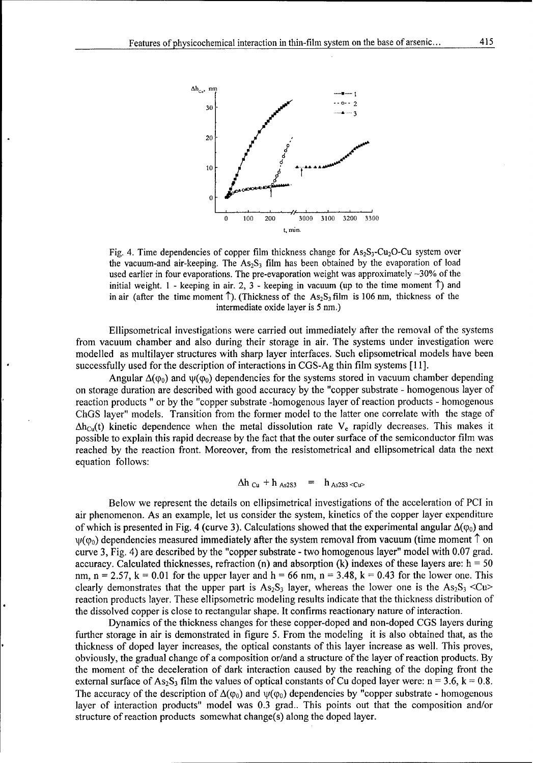

Fig. 4. Time dependencies of copper film thickness change for  $As_2S_3-Cu_2O-Cu$  system over the vacuum-and air-keeping. The  $As_2S_3$  film has been obtained by the evaporation of load used earlier in four evaporations. The pre-evaporation weight was approximately -30% of the initial weight. 1 - keeping in air. 2, 3 - keeping in vacuum (up to the time moment  $\uparrow$ ) and in air (after the time moment  $\uparrow$ ). (Thickness of the As<sub>2</sub>S<sub>3</sub> film is 106 nm, thickness of the intermediate oxide layer is 5 nm.)

Ellipsometrical investigations were carried out immediately after the removal of the systems from vacuum chamber and also during their storage in air. The systems under investigation were modelled as multilayer structures with sharp layer interfaces. Such elipsometrical models have been successfully used for the description of interactions in CGS-Ag thin film systems [11].

Angular  $\Delta(\varphi_0)$  and  $\psi(\varphi_0)$  dependencies for the systems stored in vacuum chamber depending on storage duration are described with good accuracy by the "copper substrate - homogenous layer of reaction products " or by the "copper substrate -homogenous layer of reaction products - homogenous ChGS layer" models. Transition from the former model to the latter one correlate with the stage of  $\Delta h_{C<sub>0</sub>}$ (t) kinetic dependence when the metal dissolution rate V<sub>e</sub> rapidly decreases. This makes it possible to explain this rapid decrease by the fact that the outer surface of the semiconductor film was reached by the reaction front. Moreover, from the resistometrical and ellipsometrical data the next equation follows:

$$
\Delta h_{\text{Cu}} + h_{\text{As2S3}} = h_{\text{As2S3} < \text{Cu}}
$$

Below we represent the details on ellipsimetrical investigations of the acceleration of PCI in air phenomenon. As an example, let us consider the system, kinetics of the copper layer expenditure of which is presented in Fig. 4 (curve 3). Calculations showed that the experimental angular  $\Delta(\varphi_0)$  and  $\psi(\varphi_0)$  dependencies measured immediately after the system removal from vacuum (time moment  $\uparrow$  on curve 3, Fig. 4) are described by the "copper substrate - two homogenous layer" model with 0.07 grad. accuracy. Calculated thicknesses, refraction (n) and absorption (k) indexes of these layers are:  $h = 50$ nm,  $n = 2.57$ ,  $k = 0.01$  for the upper layer and  $h = 66$  nm,  $n = 3.48$ ,  $k = 0.43$  for the lower one. This clearly demonstrates that the upper part is As<sub>2</sub>S<sub>3</sub> layer, whereas the lower one is the As<sub>2</sub>S<sub>3</sub> <Cu> reaction products layer. These ellipsometric modeling results indicate that the thickness distribution of the dissolved copper is close to rectangular shape. It confirms reactionary nature of interaction.

Dynamics of the thickness changes for these copper-doped and non-doped CGS layers during further storage in air is demonstrated in figure 5. From the modeling it is also obtained that, as the thickness of doped layer increases, the optical constants of this layer increase as well. This proves, obviously, the gradual change of a composition or/and a structure of the layer of reaction products. By the moment of the deceleration of dark interaction caused by the reaching of the doping front the external surface of  $As_2S_3$  film the values of optical constants of Cu doped layer were:  $n = 3.6$ ,  $k = 0.8$ . The accuracy of the description of  $\Delta(\varphi_0)$  and  $\psi(\varphi_0)$  dependencies by "copper substrate - homogenous layer of interaction products" model was 0.3 grad.. This points out that the composition and/or structure of reaction products somewhat change(s) along the doped layer.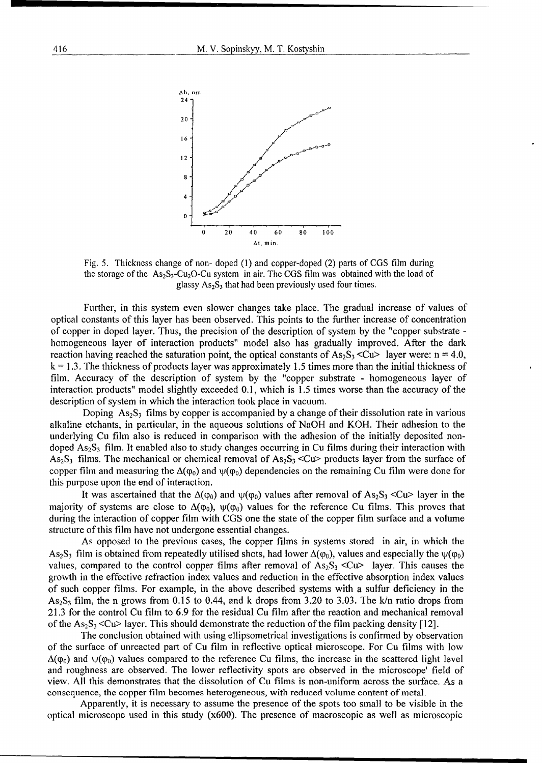

Fig. 5. Thickness change of non- doped (1) and copper-doped (2) parts of CGS film during the storage of the  $As_2S_3$ -Cu<sub>2</sub>O-Cu system in air. The CGS film was obtained with the load of glassy  $As<sub>2</sub>S<sub>3</sub>$  that had been previously used four times.

Further, in this system even slower changes take place. The gradual increase of values of optical constants of this layer has been observed. This points to the further increase of concentration of copper in doped layer. Thus, the precision of the description of system by the "copper substrate homogeneous layer of interaction products" model also has gradually improved. After the dark reaction having reached the saturation point, the optical constants of  $As_2S_3 < Cu >$  layer were: n = 4.0, k **=** 1.3. The thickness of products layer was approximately 1.5 times more than the initial thickness of film. Accuracy of the description of system by the "copper substrate - homogeneous layer of interaction products" model slightly exceeded 0.1, which is 1.5 times worse than the accuracy of the description of system in which the interaction took place in vacuum.

Doping  $As_2S_3$  films by copper is accompanied by a change of their dissolution rate in various alkaline etchants, in particular, in the aqueous solutions of NaOH and KOH. Their adhesion to the underlying Cu film also is reduced in comparison with the adhesion of the initially deposited nondoped  $As_2S_3$  film. It enabled also to study changes occurring in Cu films during their interaction with As<sub>2</sub>S<sub>3</sub> films. The mechanical or chemical removal of As<sub>2</sub>S<sub>3</sub> <Cu> products layer from the surface of copper film and measuring the  $\Delta(\varphi_0)$  and  $\psi(\varphi_0)$  dependencies on the remaining Cu film were done for this purpose upon the end of interaction.

It was ascertained that the  $\Delta(\varphi_0)$  and  $\psi(\varphi_0)$  values after removal of As<sub>2</sub>S<sub>3</sub> <Cu> layer in the majority of systems are close to  $\Delta(\varphi_0)$ ,  $\psi(\varphi_0)$  values for the reference Cu films. This proves that during the interaction of copper film with CGS one the state of the copper film surface and a volume structure of this film have not undergone essential changes.

As opposed to the previous cases, the copper films in systems stored in air, in which the As<sub>2</sub>S<sub>3</sub> film is obtained from repeatedly utilised shots, had lower  $\Delta(\varphi_0)$ , values and especially the  $\psi(\varphi_0)$ values, compared to the control copper films after removal of  $As_2S_3 < Cu >$  layer. This causes the growth in the effective refraction index values and reduction in the effective absorption index values of such copper films. For example, in the above described systems with a sulfur deficiency in the As<sub>2</sub>S<sub>3</sub> film, the n grows from 0.15 to 0.44, and k drops from 3.20 to 3.03. The k/n ratio drops from 21.3 for the control Cu film to 6.9 for the residual Cu film after the reaction and mechanical removal of the As<sub>2</sub>S<sub>3</sub> <Cu> layer. This should demonstrate the reduction of the film packing density [12].

The conclusion obtained with using ellipsometrical investigations is confirmed by observation of the surface of unreacted part of Cu film in reflective optical microscope. For Cu films with low  $\Delta(\varphi_0)$  and  $\psi(\varphi_0)$  values compared to the reference Cu films, the increase in the scattered light level and roughness are observed. The lower reflectivity spots are observed in the microscope' field of view. All this demonstrates that the dissolution of Cu films is non-uniform across the surface. As a consequence, the copper film becomes heterogeneous, with reduced volume content of metal.

Apparently, it is necessary to assume the presence of the spots too small to be visible in the optical microscope used in this study (x600). The presence of macroscopic as well as microscopic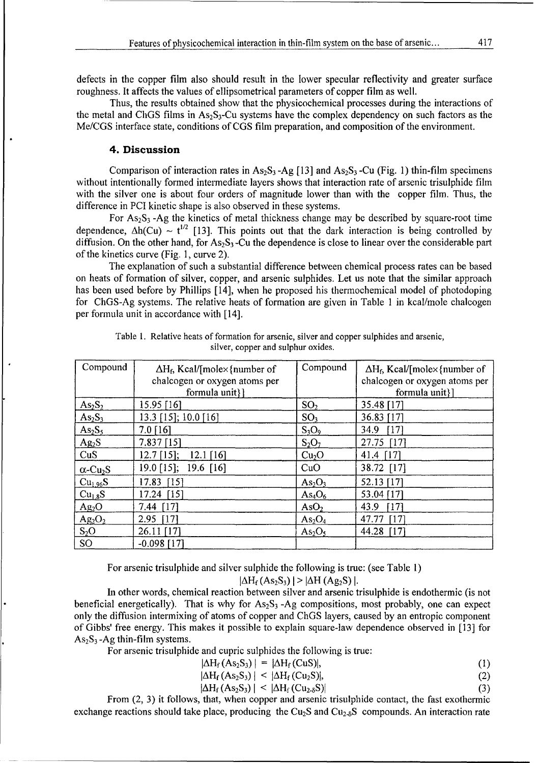defects in the copper film also should result in the lower specular reflectivity and greater surface roughness. It affects the values of ellipsometrical parameters of copper film as well.

Thus, the results obtained show that the physicochemical processes during the interactions of the metal and ChGS films in  $As_2S_3$ -Cu systems have the complex dependency on such factors as the Me/CGS interface state, conditions of CGS film preparation, and composition of the environment.

## 4. Discussion

Comparison of interaction rates in  $As_2S_3 - Ag$  [13] and  $As_2S_3 - Cu$  (Fig. 1) thin-film specimens without intentionally formed intermediate layers shows that interaction rate of arsenic trisulphide film with the silver one is about four orders of magnitude lower than with the copper film. Thus, the difference in PCI kinetic shape is also observed in these systems.

For  $As_2S_3$ -Ag the kinetics of metal thickness change may be described by square-root time dependence,  $\Delta h$ (Cu)  $\sim t^{1/2}$  [13]. This points out that the dark interaction is being controlled by diffusion. On the other hand, for  $As_2S_3$ -Cu the dependence is close to linear over the considerable part of the kinetics curve (Fig. 1, curve 2).

The explanation of such a substantial difference between chemical process rates can be based on heats of formation of silver, copper, and arsenic sulphides. Let us note that the similar approach has been used before by Phillips [14], when he proposed his thermochemical model of photodoping for ChGS-Ag systems. The relative heats of formation are given in Table **I** in kcal/mole chalcogen per formula unit in accordance with [14].

| Compound                       | $\Delta H_f$ , Kcal/[mole×{number of<br>chalcogen or oxygen atoms per | Compound                       | $\Delta H_f$ , Kcal/[mole×{number of<br>chalcogen or oxygen atoms per |
|--------------------------------|-----------------------------------------------------------------------|--------------------------------|-----------------------------------------------------------------------|
|                                | formula unit}]                                                        |                                | formula unit}]                                                        |
| $As_2S_2$                      | 15.95 [16]                                                            | SO <sub>2</sub>                | 35.48 [17]                                                            |
| As <sub>2</sub> S <sub>3</sub> | 13.3 [15]; 10.0 [16]                                                  | SO <sub>3</sub>                | 36.83 [17]                                                            |
| As <sub>2</sub> S <sub>5</sub> | $7.0$ [16]                                                            | $S_3O_9$                       | 34.9<br>[17]                                                          |
| Ag <sub>2</sub> S              | 7.837 [15]                                                            | $S_2O_7$                       | 27.75<br>[17]                                                         |
| CuS                            | $12.7$ [15];<br>$12.1$ [16]                                           | Cu <sub>2</sub> O              | 41.4 [17]                                                             |
| $\alpha$ -Cu <sub>2</sub> S    | $19.0$ [15]; 19.6 [16]                                                | CuO                            | 38.72 [17]                                                            |
| Cu <sub>1.96</sub> S           | 17.83 [15]                                                            | As <sub>2</sub> O <sub>3</sub> | 52.13 [17]                                                            |
| Cu <sub>1,8</sub> S            | 17.24 [15]                                                            | As <sub>4</sub> O <sub>6</sub> | 53.04 [17]                                                            |
| $Ag_2O$                        | [17]<br>7.44                                                          | AsO <sub>2</sub>               | 43.9<br>[17]                                                          |
| $Ag_2O_2$                      | [17]<br>2.95                                                          | As <sub>2</sub> O <sub>4</sub> | [17]<br>47.77                                                         |
| $S_2O$                         | 26.11 [17]                                                            | As <sub>2</sub> O <sub>5</sub> | 44.28 [17]                                                            |
| <b>SO</b>                      | $-0.098$ [17]                                                         |                                |                                                                       |

Table 1. Relative heats of formation for arsenic, silver and copper sulphides and arsenic, silver, copper and sulphur oxides.

For arsenic trisulphide and silver sulphide the following is true: (see Table 1)

$$
|\Delta H_f (As_2S_3)| \geq |\Delta H (Ag_2S)|.
$$

In other words, chemical reaction between silver and arsenic trisulphide is endothermic (is not beneficial energetically). That is why for  $As_2S_3 - Ag$  compositions, most probably, one can expect only the diffusion intermixing of atoms of copper and ChGS layers, caused by an entropic component of Gibbs' free energy. This makes it possible to explain square-law dependence observed in [13] for  $As<sub>2</sub>S<sub>3</sub> - Ag thin-film systems.$ 

For arsenic trisulphide and cupric sulphides the following is true:

$$
|\Delta H_f (As_2S_3)| = |\Delta H_f (CuS)|, \qquad (1)
$$

$$
|\Delta H_f(As_2S_3)| \leq |\Delta H_f(Cu_2S)|, \tag{2}
$$

$$
|\Delta H_f (As_2S_3)| \le |\Delta H_f (Cu_{2.5}S)| \tag{3}
$$

From (2, 3) it follows, that, when copper and arsenic trisulphide contact, the fast exothermic exchange reactions should take place, producing the  $Cu<sub>2</sub>S$  and  $Cu<sub>2-8</sub>S$  compounds. An interaction rate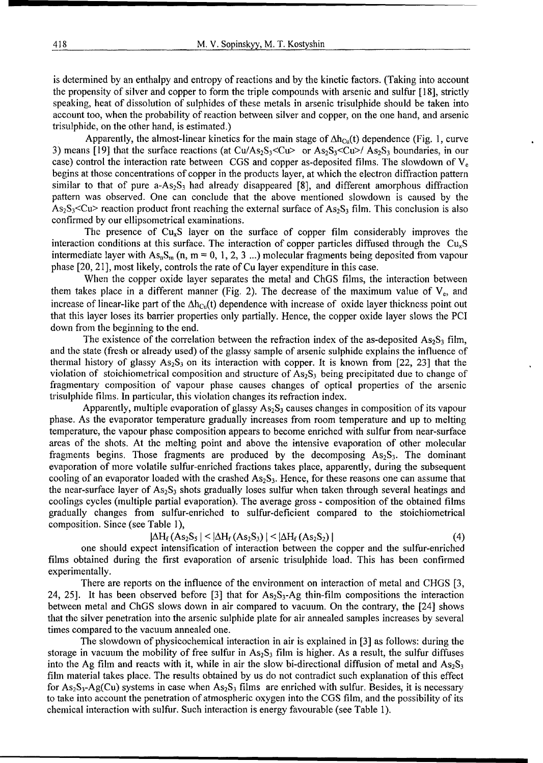is determined by an enthalpy and entropy of reactions and by the kinetic factors. (Taking into account the propensity of silver and copper to form the triple compounds with arsenic and sulfur [18], strictly speaking, heat of dissolution of sulphides of these metals in arsenic trisulphide should be taken into account too, when the probability of reaction between silver and copper, on the one hand, and arsenic trisulphide, on the other hand, is estimated.)

Apparently, the almost-linear kinetics for the main stage of  $\Delta h_{Cu}(t)$  dependence (Fig. 1, curve 3) means [19] that the surface reactions (at Cu/As<sub>2</sub>S<sub>3</sub><Cu> or As<sub>2</sub>S<sub>3</sub><Cu>/As<sub>2</sub>S<sub>3</sub> boundaries, in our case) control the interaction rate between CGS and copper as-deposited films. The slowdown of  $V_e$ begins at those concentrations of copper in the products layer, at which the electron diffraction pattern similar to that of pure a-As<sub>2</sub>S<sub>3</sub> had already disappeared [8], and different amorphous diffraction pattern was observed. One can conclude that the above mentioned slowdown is caused by the As<sub>2</sub>S<sub>3</sub><Cu> reaction product front reaching the external surface of As<sub>2</sub>S<sub>3</sub> film. This conclusion is also confirmed by our ellipsometrical examinations.

The presence of  $Cu<sub>x</sub>S$  layer on the surface of copper film considerably improves the interaction conditions at this surface. The interaction of copper particles diffused through the  $Cu<sub>x</sub>S$ intermediate layer with  $As_nS_m$  (n, m = 0, 1, 2, 3 ...) molecular fragments being deposited from vapour phase [20, 21], most likely, controls the rate of Cu layer expenditure in this case.

When the copper oxide layer separates the metal and ChGS films, the interaction between them takes place in a different manner (Fig. 2). The decrease of the maximum value of  $V_e$ , and increase of linear-like part of the  $\Delta h_{Cu}(t)$  dependence with increase of oxide layer thickness point out that this layer loses its barrier properties only partially. Hence, the copper oxide layer slows the PCI down from the beginning to the end.

The existence of the correlation between the refraction index of the as-deposited  $As_2S_3$  film, and the state (fresh or already used) of the glassy sample of arsenic sulphide explains the influence of thermal history of glassy  $As_2S_3$  on its interaction with copper. It is known from [22, 23] that the violation of stoichiometrical composition and structure of  $As_2S_3$  being precipitated due to change of fragmentary composition of vapour phase causes changes of optical properties of the arsenic trisulphide films. In particular, this violation changes its refraction index.

Apparently, multiple evaporation of glassy  $As_2S_3$  causes changes in composition of its vapour phase. As the evaporator temperature gradually increases from room temperature and up to melting temperature, the vapour phase composition appears to become enriched with sulfur from near-surface areas of the shots. At the melting point and above the intensive evaporation of other molecular fragments begins. Those fragments are produced by the decomposing  $As_2S_3$ . The dominant evaporation of more volatile sulfur-enriched fractions takes place, apparently, during the subsequent cooling of an evaporator loaded with the crashed  $As_2S_3$ . Hence, for these reasons one can assume that the near-surface layer of  $As_2S_3$  shots gradually loses sulfur when taken through several heatings and coolings cycles (multiple partial evaporation). The average gross - composition of the obtained films gradually changes from sulfur-enriched to sulfur-deficient compared to the stoichiometrical composition. Since (see Table 1),

$$
|\Delta H_f(As_2S_5|<|\Delta H_f(As_2S_3)|<|\Delta H_f(As_2S_2)|
$$
\n(4)

one should expect intensification of interaction between the copper and the sulfur-enriched films obtained during the first evaporation of arsenic trisulphide load. This has been confirmed experimentally.

There are reports on the influence of the environment on interaction of metal and CHGS [3, 24, 25]. It has been observed before [3] that for  $As_2S_3-Ag$  thin-film compositions the interaction between metal and ChGS slows down in air compared to vacuum. On the contrary, the [24] shows that the silver penetration into the arsenic sulphide plate for air annealed samples increases by several times compared to the vacuum annealed one.

The slowdown of physicochemical interaction in air is explained in [3] as follows: during the storage in vacuum the mobility of free sulfur in  $As_2S_3$  film is higher. As a result, the sulfur diffuses into the Ag film and reacts with it, while in air the slow bi-directional diffusion of metal and  $As_2S_3$ film material takes place. The results obtained by us do not contradict such explanation of this effect for  $As_2S_3-Ag(Cu)$  systems in case when  $As_2S_3$  films are enriched with sulfur. Besides, it is necessary to take into account the penetration of atmospheric oxygen into the CGS film, and the possibility of its chemical interaction with sulfur. Such interaction is energy favourable (see Table 1).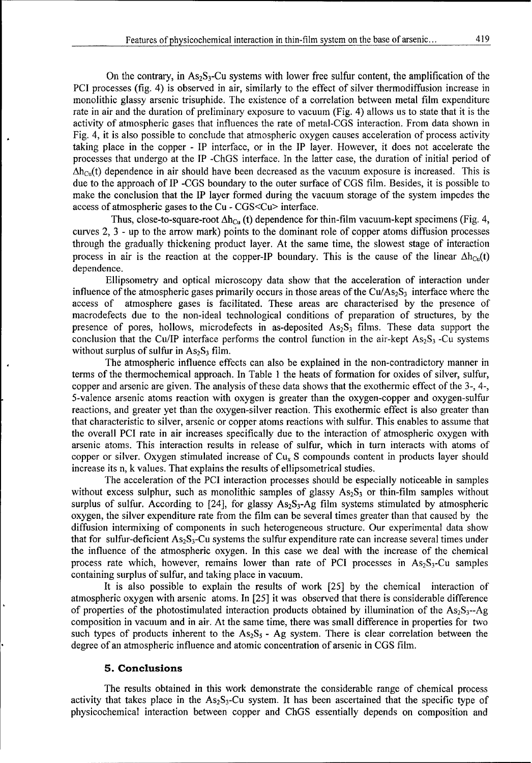On the contrary, in  $As_2S_3$ -Cu systems with lower free sulfur content, the amplification of the PCI processes (fig. 4) is observed in air, similarly to the effect of silver thermodiffusion increase in monolithic glassy arsenic trisuphide. The existence of a correlation between metal film expenditure rate in air and the duration of preliminary exposure to vacuum (Fig. 4) allows us to state that it is the activity of atmospheric gases that influences the rate of metal-CGS interaction. From data shown in Fig. 4, it is also possible to conclude that atmospheric oxygen causes acceleration of process activity taking place in the copper - IP interface, or in the IP layer. However, it does not accelerate the processes that undergo at the IP -ChGS interface. In the latter case, the duration of initial period of  $\Delta h_{\text{Cu}}(t)$  dependence in air should have been decreased as the vacuum exposure is increased. This is due to the approach of IP -CGS boundary to the outer surface of CGS film. Besides, it is possible to make the conclusion that the IP layer formed during the vacuum storage of the system impedes the access of atmospheric gases to the Cu - CGS<Cu> interface.

Thus, close-to-square-root  $\Delta h_{Cu}$  (t) dependence for thin-film vacuum-kept specimens (Fig. 4, curves 2, 3 - up to the arrow mark) points to the dominant role of copper atoms diffusion processes through the gradually thickening product layer. At the same time, the slowest stage of interaction process in air is the reaction at the copper-IP boundary. This is the cause of the linear  $\Delta h_{\text{Cu}}(t)$ dependence.

Ellipsometry and optical microscopy data show that the acceleration of interaction under influence of the atmospheric gases primarily occurs in those areas of the  $Cu/As<sub>2</sub>S<sub>3</sub>$  interface where the access of atmosphere gases is facilitated. These areas are characterised by the presence of macrodefects due to the non-ideal technological conditions of preparation of structures, by the presence of pores, hollows, microdefects in as-deposited  $As_2S_3$  films. These data support the conclusion that the Cu/IP interface performs the control function in the air-kept  $As_2S_3$ -Cu systems without surplus of sulfur in  $As<sub>2</sub>S<sub>3</sub>$  film.

The atmospheric influence effects can also be explained in the non-contradictory manner in terms of the thermochemical approach. In Table 1 the heats of formation for oxides of silver, sulfur, copper and arsenic are given. The analysis of these data shows that the exothermic effect of the 3-, 4-, 5-valence arsenic atoms reaction with oxygen is greater than the oxygen-copper and oxygen-sulfur reactions, and greater yet than the oxygen-silver reaction. This exothermic effect is also greater than that characteristic to silver, arsenic or copper atoms reactions with sulfur. This enables to assume that the overall PCI rate in air increases specifically due to the interaction of atmospheric oxygen with arsenic atoms. This interaction results in release of sulfur, which in turn interacts with atoms of copper or silver. Oxygen stimulated increase of Cu, S compounds content in products layer should increase its n, k values. That explains the results of ellipsometrical studies.

The acceleration of the PCI interaction processes should be especially noticeable in samples without excess sulphur, such as monolithic samples of glassy  $As_2S_3$  or thin-film samples without surplus of sulfur. According to  $[24]$ , for glassy As<sub>2</sub>S<sub>3</sub>-Ag film systems stimulated by atmospheric oxygen, the silver expenditure rate from the film can be several times greater than that caused by the diffusion intermixing of components in such heterogeneous structure. Our experimental data show that for sulfur-deficient  $As_2S_3$ -Cu systems the sulfur expenditure rate can increase several times under the influence of the atmospheric oxygen. In this case we deal with the increase of the chemical process rate which, however, remains lower than rate of PCI processes in  $As_2S_3$ -Cu samples containing surplus of sulfur, and taking place in vacuum.

It is also possible to explain the results of work [25] by the chemical interaction of atmospheric oxygen with arsenic atoms. In [25] it was observed that there is considerable difference of properties of the photostimulated interaction products obtained by illumination of the  $As_2S_3-Ag$ composition in vacuum and in air. At the same time, there was small difference in properties for two such types of products inherent to the  $As_2S_5$  - Ag system. There is clear correlation between the degree of an atmospheric influence and atomic concentration of arsenic in CGS film.

### **5.** Conclusions

The results obtained in this work demonstrate the considerable range of chemical process activity that takes place in the  $As_2S_3$ -Cu system. It has been ascertained that the specific type of physicochemical interaction between copper and ChGS essentially depends on composition and